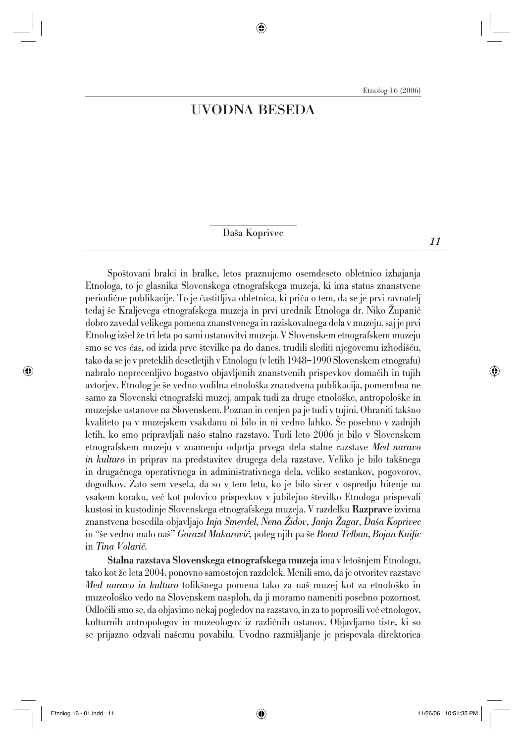## UVODNA BESEDA

Daša Koprivec

Spoštovani bralci in bralke, letos praznujemo osemdeseto obletnico izhajanja Etnologa*,* to je glasnika Slovenskega etnografskega muzeja, ki ima status znanstvene periodične publikacije. To je častitljiva obletnica, ki priča o tem, da se je prvi ravnatelj tedaj še Kraljevega etnografskega muzeja in prvi urednik Etnologa dr. Niko Zupanič dobro zavedal velikega pomena znanstvenega in raziskovalnega dela v muzeju, saj je prvi Etnolog iz{el `e tri leta po sami ustanovitvi muzeja. V Slovenskem etnografskem muzeju smo se ves čas, od izida prve številke pa do danes, trudili slediti njegovemu izhodišču, tako da se je v preteklih desetletjih v Etnologu (v letih 1948–1990 Slovenskem etnografu) nabralo neprecenljivo bogastvo objavljenih znanstvenih prispevkov domačih in tujih avtorjev. Etnolog je {e vedno vodilna etnolo{ka znanstvena publikacija, pomembna ne samo za Slovenski etnografski muzej, ampak tudi za druge etnološke, antropološke in muzejske ustanove na Slovenskem. Poznan in cenjen pa je tudi v tujini. Ohraniti takšno kvaliteto pa v muzejskem vsakdanu ni bilo in ni vedno lahko. Še posebno v zadnjih letih, ko smo pripravljali na{o stalno razstavo. Tudi leto 2006 je bilo v Slovenskem etnografskem muzeju v znamenju odprtja prvega dela stalne razstave *Med naravo in kulturo* in priprav na predstavitev drugega dela razstave. Veliko je bilo takšnega in drugačnega operativnega in administrativnega dela, veliko sestankov, pogovorov, dogodkov. Zato sem vesela, da so v tem letu, ko je bilo sicer v ospredju hitenje na vsakem koraku, več kot polovico prispevkov v jubilejno številko Etnologa prispevali kustosi in kustodinje Slovenskega etnografskega muzeja. V razdelku Razprave izvirna znanstvena besedila objavljajo *Inja Smerdel, Nena @idov, Janja @agar, Da{a Koprivec* in "še vedno malo naš" *Gorazd Makarovič*, poleg njih pa še *Borut Telban, Bojan Knific* in *Tina Volarič*.

Stalna razstava Slovenskega etnografskega muzeja ima v letošnjem Etnologu, tako kot že leta 2004, ponovno samostojen razdelek. Menili smo, da je otvoritev razstave *Med naravo in kulturo* tolikšnega pomena tako za naš muzej kot za etnološko in muzeolo{ko vedo na Slovenskem nasploh, da ji moramo nameniti posebno pozornost. Odločili smo se, da objavimo nekaj pogledov na razstavo, in za to poprosili več etnologov, kulturnih antropologov in muzeologov iz različnih ustanov. Objavljamo tiste, ki so se prijazno odzvali našemu povabilu. Uvodno razmišljanje je prispevala direktorica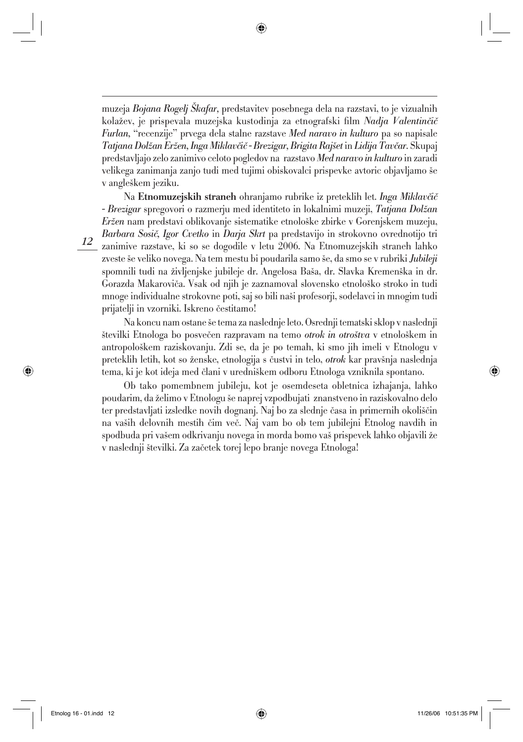muzeja *Bojana Rogelj [kafar,* predstavitev posebnega dela na razstavi, to je vizualnih kolažev, je prispevala muzejska kustodinja za etnografski film *Nadja Valentinčič Furlan,* "recenzije" prvega dela stalne razstave *Med naravo in kulturo* pa so napisale *Tatjana Dol`an Er`en, Inga Miklav~i~ - Brezigar, Brigita Raj{et* in *Lidija Tav~ar.* Skupaj predstavljajo zelo zanimivo celoto pogledov na razstavo *Med naravo in kulturo* in zaradi velikega zanimanja zanjo tudi med tujimi obiskovalci prispevke avtoric objavljamo še v angleškem jeziku.

Na Etnomuzejskih straneh ohranjamo rubrike iz preteklih let. *Inga Miklavčič - Brezigar* spregovori o razmerju med identiteto in lokalnimi muzeji, *Tatjana Dol`an Eržen* nam predstavi oblikovanje sistematike etnološke zbirke v Gorenjskem muzeju, *Barbara Sosi~, Igor Cvetko* in *Darja Skrt* pa predstavijo in strokovno ovrednotijo tri zanimive razstave, ki so se dogodile v letu 2006. Na Etnomuzejskih straneh lahko zveste {e veliko novega. Na tem mestu bi poudarila samo {e, da smo se v rubriki *Jubileji* spomnili tudi na življenjske jubileje dr. Angelosa Baša, dr. Slavka Kremenška in dr. Gorazda Makaroviča. Vsak od njih je zaznamoval slovensko etnološko stroko in tudi mnoge individualne strokovne poti, saj so bili na{i profesorji, sodelavci in mnogim tudi prijatelji in vzorniki. Iskreno čestitamo!

Na koncu nam ostane {e tema za naslednje leto. Osrednji tematski sklop v naslednji številki Etnologa bo posvečen razpravam na temo *otrok in otroštva* v etnološkem in antropolo{kem raziskovanju. Zdi se, da je po temah, ki smo jih imeli v Etnologu v preteklih letih, kot so ženske, etnologija s čustvi in telo, *otrok* kar pravšnja naslednja tema, ki je kot ideja med člani v uredniškem odboru Etnologa vzniknila spontano.

Ob tako pomembnem jubileju, kot je osemdeseta obletnica izhajanja, lahko poudarim, da `elimo v Etnologu {e naprej vzpodbujati znanstveno in raziskovalno delo ter predstavljati izsledke novih dognanj. Naj bo za slednje časa in primernih okoliščin na vaših delovnih mestih čim več. Naj vam bo ob tem jubilejni Etnolog navdih in spodbuda pri vašem odkrivanju novega in morda bomo vaš prispevek lahko objavili že v naslednji številki. Za začetek torej lepo branje novega Etnologa!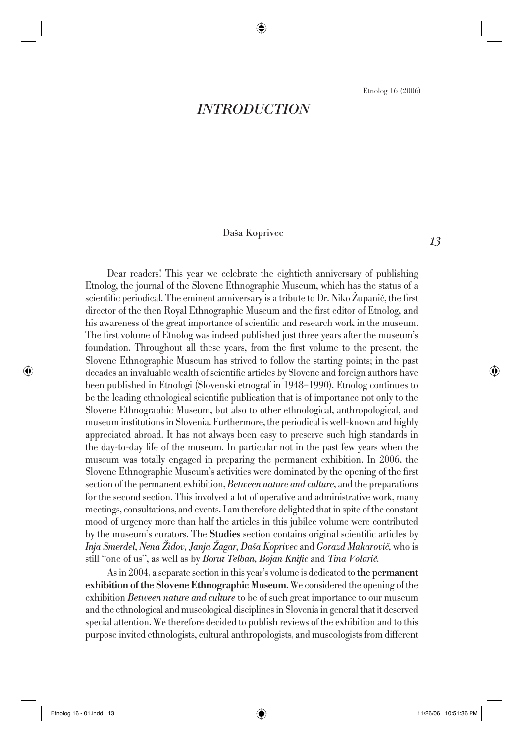## *INTRODUCTION*

Daša Koprivec

Dear readers! This year we celebrate the eightieth anniversary of publishing Etnolog, the journal of the Slovene Ethnographic Museum, which has the status of a scientific periodical. The eminent anniversary is a tribute to Dr. Niko Zupanič, the first director of the then Royal Ethnographic Museum and the first editor of Etnolog, and his awareness of the great importance of scientific and research work in the museum. The first volume of Etnolog was indeed published just three years after the museum's foundation. Throughout all these years, from the first volume to the present, the Slovene Ethnographic Museum has strived to follow the starting points; in the past decades an invaluable wealth of scientific articles by Slovene and foreign authors have been published in Etnologi (Slovenski etnograf in 1948–1990). Etnolog continues to be the leading ethnological scientific publication that is of importance not only to the Slovene Ethnographic Museum, but also to other ethnological, anthropological, and museum institutions in Slovenia. Furthermore, the periodical is well-known and highly appreciated abroad. It has not always been easy to preserve such high standards in the day-to-day life of the museum. In particular not in the past few years when the museum was totally engaged in preparing the permanent exhibition. In 2006, the Slovene Ethnographic Museum's activities were dominated by the opening of the first section of the permanent exhibition, *Between nature and culture*, and the preparations for the second section. This involved a lot of operative and administrative work, many meetings, consultations, and events. I am therefore delighted that in spite of the constant mood of urgency more than half the articles in this jubilee volume were contributed by the museum's curators. The **Studies** section contains original scientific articles by *Inja Smerdel, Nena Židov, Janja Zagar, Daša Koprivec* and *Gorazd Makarovič*, who is still "one of us", as well as by *Borut Telban, Bojan Knific* and *Tina Volarič*.

As in 2004, a separate section in this year's volume is dedicated to the permanent exhibition of the Slovene Ethnographic Museum. We considered the opening of the exhibition *Between nature and culture* to be of such great importance to our museum and the ethnological and museological disciplines in Slovenia in general that it deserved special attention. We therefore decided to publish reviews of the exhibition and to this purpose invited ethnologists, cultural anthropologists, and museologists from different